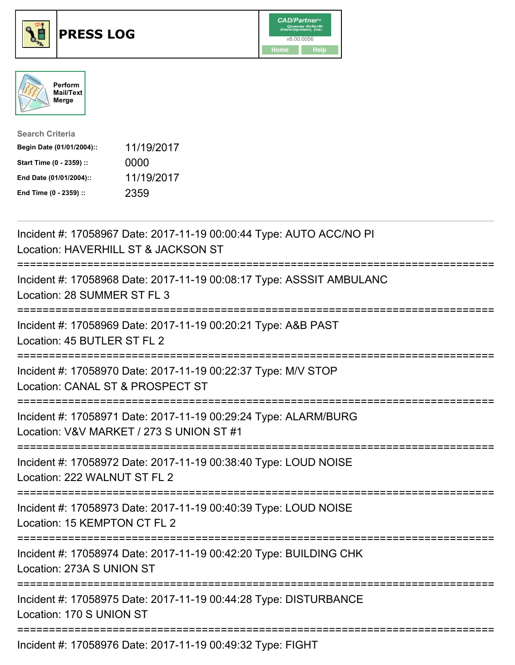





| <b>Search Criteria</b>    |            |
|---------------------------|------------|
| Begin Date (01/01/2004):: | 11/19/2017 |
| Start Time (0 - 2359) ::  | 0000       |
| End Date (01/01/2004)::   | 11/19/2017 |
| End Time (0 - 2359) ::    | 2359       |

| Incident #: 17058967 Date: 2017-11-19 00:00:44 Type: AUTO ACC/NO PI<br>Location: HAVERHILL ST & JACKSON ST                                     |
|------------------------------------------------------------------------------------------------------------------------------------------------|
| Incident #: 17058968 Date: 2017-11-19 00:08:17 Type: ASSSIT AMBULANC<br>Location: 28 SUMMER ST FL 3<br>==============                          |
| Incident #: 17058969 Date: 2017-11-19 00:20:21 Type: A&B PAST<br>Location: 45 BUTLER ST FL 2<br>================                               |
| Incident #: 17058970 Date: 2017-11-19 00:22:37 Type: M/V STOP<br>Location: CANAL ST & PROSPECT ST<br>===========<br>-----------------------    |
| Incident #: 17058971 Date: 2017-11-19 00:29:24 Type: ALARM/BURG<br>Location: V&V MARKET / 273 S UNION ST #1<br>=============================== |
| Incident #: 17058972 Date: 2017-11-19 00:38:40 Type: LOUD NOISE<br>Location: 222 WALNUT ST FL 2<br>:=====================                      |
| Incident #: 17058973 Date: 2017-11-19 00:40:39 Type: LOUD NOISE<br>Location: 15 KEMPTON CT FL 2                                                |
| Incident #: 17058974 Date: 2017-11-19 00:42:20 Type: BUILDING CHK<br>Location: 273A S UNION ST                                                 |
| =====================================<br>Incident #: 17058975 Date: 2017-11-19 00:44:28 Type: DISTURBANCE<br>Location: 170 S UNION ST          |
| Incident #: 17058976 Date: 2017-11-19 00:49:32 Type: FIGHT                                                                                     |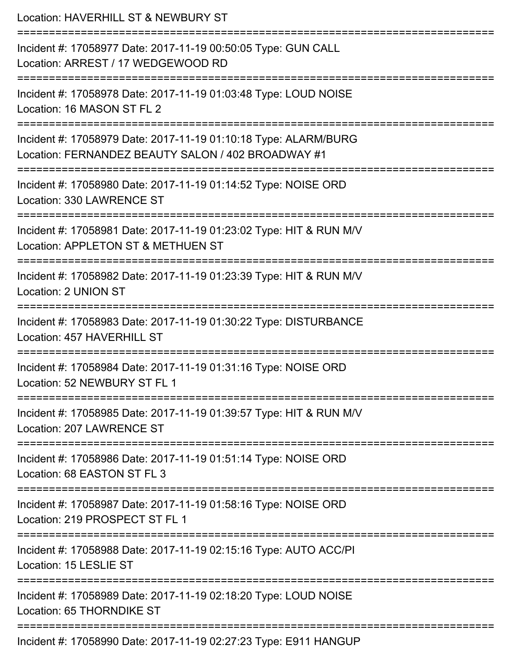| Location: HAVERHILL ST & NEWBURY ST<br>==========================                                                                                                                       |
|-----------------------------------------------------------------------------------------------------------------------------------------------------------------------------------------|
| Incident #: 17058977 Date: 2017-11-19 00:50:05 Type: GUN CALL<br>Location: ARREST / 17 WEDGEWOOD RD                                                                                     |
| Incident #: 17058978 Date: 2017-11-19 01:03:48 Type: LOUD NOISE<br>Location: 16 MASON ST FL 2                                                                                           |
| Incident #: 17058979 Date: 2017-11-19 01:10:18 Type: ALARM/BURG<br>Location: FERNANDEZ BEAUTY SALON / 402 BROADWAY #1<br>============================<br>:============================= |
| Incident #: 17058980 Date: 2017-11-19 01:14:52 Type: NOISE ORD<br>Location: 330 LAWRENCE ST                                                                                             |
| Incident #: 17058981 Date: 2017-11-19 01:23:02 Type: HIT & RUN M/V<br>Location: APPLETON ST & METHUEN ST                                                                                |
| Incident #: 17058982 Date: 2017-11-19 01:23:39 Type: HIT & RUN M/V<br>Location: 2 UNION ST                                                                                              |
| Incident #: 17058983 Date: 2017-11-19 01:30:22 Type: DISTURBANCE<br>Location: 457 HAVERHILL ST                                                                                          |
| Incident #: 17058984 Date: 2017-11-19 01:31:16 Type: NOISE ORD<br>Location: 52 NEWBURY ST FL 1                                                                                          |
| Incident #: 17058985 Date: 2017-11-19 01:39:57 Type: HIT & RUN M/V<br>Location: 207 LAWRENCE ST                                                                                         |
| Incident #: 17058986 Date: 2017-11-19 01:51:14 Type: NOISE ORD<br>Location: 68 EASTON ST FL 3                                                                                           |
| Incident #: 17058987 Date: 2017-11-19 01:58:16 Type: NOISE ORD<br>Location: 219 PROSPECT ST FL 1                                                                                        |
| Incident #: 17058988 Date: 2017-11-19 02:15:16 Type: AUTO ACC/PI<br>Location: 15 LESLIE ST                                                                                              |
| Incident #: 17058989 Date: 2017-11-19 02:18:20 Type: LOUD NOISE<br>Location: 65 THORNDIKE ST                                                                                            |
| Incident #: 17058990 Date: 2017-11-19 02:27:23 Type: E911 HANGUP                                                                                                                        |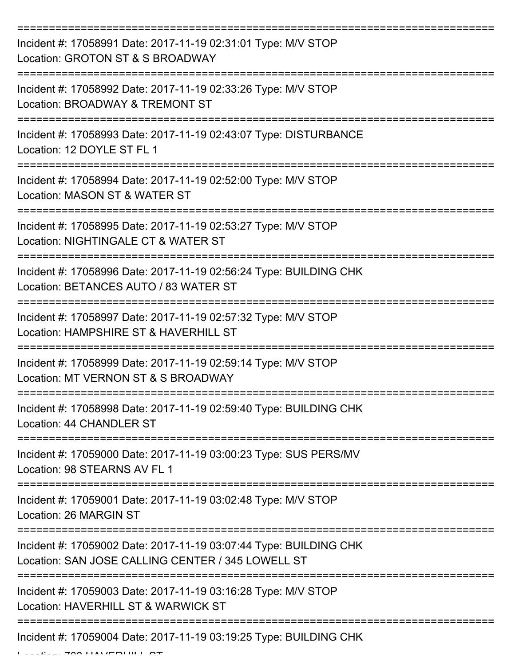| Incident #: 17058991 Date: 2017-11-19 02:31:01 Type: M/V STOP<br>Location: GROTON ST & S BROADWAY                      |
|------------------------------------------------------------------------------------------------------------------------|
| Incident #: 17058992 Date: 2017-11-19 02:33:26 Type: M/V STOP<br>Location: BROADWAY & TREMONT ST                       |
| Incident #: 17058993 Date: 2017-11-19 02:43:07 Type: DISTURBANCE<br>Location: 12 DOYLE ST FL 1                         |
| Incident #: 17058994 Date: 2017-11-19 02:52:00 Type: M/V STOP<br>Location: MASON ST & WATER ST                         |
| Incident #: 17058995 Date: 2017-11-19 02:53:27 Type: M/V STOP<br>Location: NIGHTINGALE CT & WATER ST                   |
| Incident #: 17058996 Date: 2017-11-19 02:56:24 Type: BUILDING CHK<br>Location: BETANCES AUTO / 83 WATER ST             |
| Incident #: 17058997 Date: 2017-11-19 02:57:32 Type: M/V STOP<br>Location: HAMPSHIRE ST & HAVERHILL ST                 |
| Incident #: 17058999 Date: 2017-11-19 02:59:14 Type: M/V STOP<br>Location: MT VERNON ST & S BROADWAY                   |
| Incident #: 17058998 Date: 2017-11-19 02:59:40 Type: BUILDING CHK<br>Location: 44 CHANDLER ST                          |
| Incident #: 17059000 Date: 2017-11-19 03:00:23 Type: SUS PERS/MV<br>Location: 98 STEARNS AV FL 1                       |
| Incident #: 17059001 Date: 2017-11-19 03:02:48 Type: M/V STOP<br>Location: 26 MARGIN ST                                |
| Incident #: 17059002 Date: 2017-11-19 03:07:44 Type: BUILDING CHK<br>Location: SAN JOSE CALLING CENTER / 345 LOWELL ST |
| Incident #: 17059003 Date: 2017-11-19 03:16:28 Type: M/V STOP<br>Location: HAVERHILL ST & WARWICK ST                   |
| Incident #: 17059004 Date: 2017-11-19 03:19:25 Type: BUILDING CHK                                                      |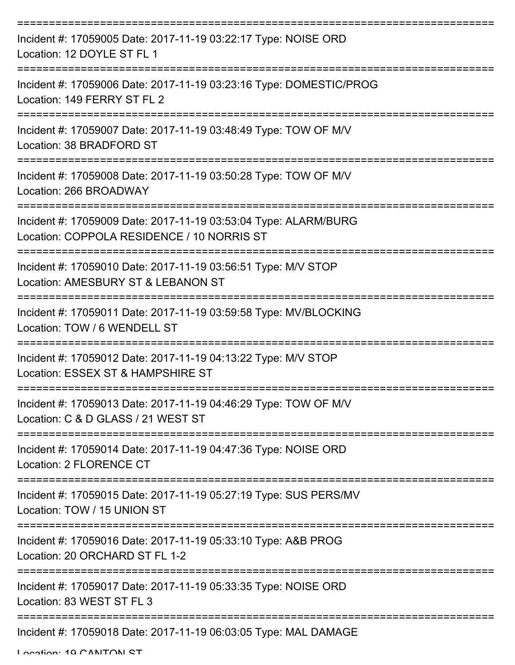| Incident #: 17059005 Date: 2017-11-19 03:22:17 Type: NOISE ORD<br>Location: 12 DOYLE ST FL 1                  |
|---------------------------------------------------------------------------------------------------------------|
| Incident #: 17059006 Date: 2017-11-19 03:23:16 Type: DOMESTIC/PROG<br>Location: 149 FERRY ST FL 2             |
| Incident #: 17059007 Date: 2017-11-19 03:48:49 Type: TOW OF M/V<br>Location: 38 BRADFORD ST                   |
| Incident #: 17059008 Date: 2017-11-19 03:50:28 Type: TOW OF M/V<br>Location: 266 BROADWAY                     |
| Incident #: 17059009 Date: 2017-11-19 03:53:04 Type: ALARM/BURG<br>Location: COPPOLA RESIDENCE / 10 NORRIS ST |
| Incident #: 17059010 Date: 2017-11-19 03:56:51 Type: M/V STOP<br>Location: AMESBURY ST & LEBANON ST           |
| Incident #: 17059011 Date: 2017-11-19 03:59:58 Type: MV/BLOCKING<br>Location: TOW / 6 WENDELL ST              |
| Incident #: 17059012 Date: 2017-11-19 04:13:22 Type: M/V STOP<br>Location: ESSEX ST & HAMPSHIRE ST            |
| Incident #: 17059013 Date: 2017-11-19 04:46:29 Type: TOW OF M/V<br>Location: C & D GLASS / 21 WEST ST         |
| Incident #: 17059014 Date: 2017-11-19 04:47:36 Type: NOISE ORD<br>Location: 2 FLORENCE CT                     |
| Incident #: 17059015 Date: 2017-11-19 05:27:19 Type: SUS PERS/MV<br>Location: TOW / 15 UNION ST               |
| Incident #: 17059016 Date: 2017-11-19 05:33:10 Type: A&B PROG<br>Location: 20 ORCHARD ST FL 1-2               |
| Incident #: 17059017 Date: 2017-11-19 05:33:35 Type: NOISE ORD<br>Location: 83 WEST ST FL 3                   |
| Incident #: 17059018 Date: 2017-11-19 06:03:05 Type: MAL DAMAGE                                               |

Location: 10 CANITON ST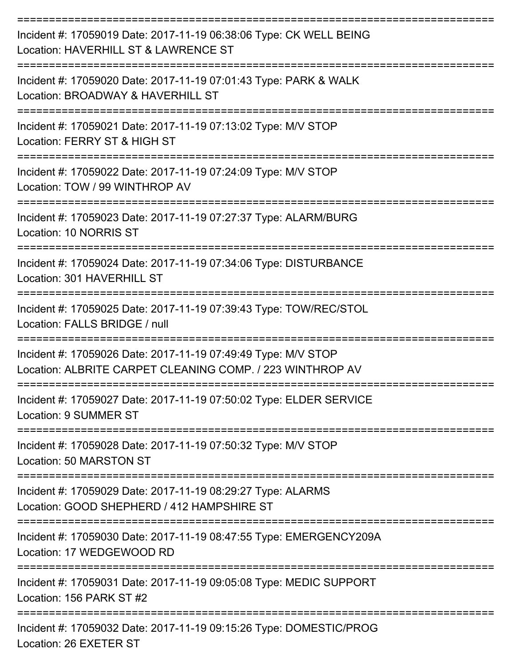| Incident #: 17059019 Date: 2017-11-19 06:38:06 Type: CK WELL BEING<br>Location: HAVERHILL ST & LAWRENCE ST                 |
|----------------------------------------------------------------------------------------------------------------------------|
| Incident #: 17059020 Date: 2017-11-19 07:01:43 Type: PARK & WALK<br>Location: BROADWAY & HAVERHILL ST                      |
| Incident #: 17059021 Date: 2017-11-19 07:13:02 Type: M/V STOP<br>Location: FERRY ST & HIGH ST                              |
| Incident #: 17059022 Date: 2017-11-19 07:24:09 Type: M/V STOP<br>Location: TOW / 99 WINTHROP AV                            |
| Incident #: 17059023 Date: 2017-11-19 07:27:37 Type: ALARM/BURG<br>Location: 10 NORRIS ST                                  |
| Incident #: 17059024 Date: 2017-11-19 07:34:06 Type: DISTURBANCE<br>Location: 301 HAVERHILL ST                             |
| Incident #: 17059025 Date: 2017-11-19 07:39:43 Type: TOW/REC/STOL<br>Location: FALLS BRIDGE / null                         |
| Incident #: 17059026 Date: 2017-11-19 07:49:49 Type: M/V STOP<br>Location: ALBRITE CARPET CLEANING COMP. / 223 WINTHROP AV |
| Incident #: 17059027 Date: 2017-11-19 07:50:02 Type: ELDER SERVICE<br>Location: 9 SUMMER ST                                |
| ------------------<br>Incident #: 17059028 Date: 2017-11-19 07:50:32 Type: M/V STOP<br>Location: 50 MARSTON ST             |
| Incident #: 17059029 Date: 2017-11-19 08:29:27 Type: ALARMS<br>Location: GOOD SHEPHERD / 412 HAMPSHIRE ST                  |
| Incident #: 17059030 Date: 2017-11-19 08:47:55 Type: EMERGENCY209A<br>Location: 17 WEDGEWOOD RD                            |
| Incident #: 17059031 Date: 2017-11-19 09:05:08 Type: MEDIC SUPPORT<br>Location: 156 PARK ST #2                             |
| Incident #: 17059032 Date: 2017-11-19 09:15:26 Type: DOMESTIC/PROG<br>Location: 26 EXETER ST                               |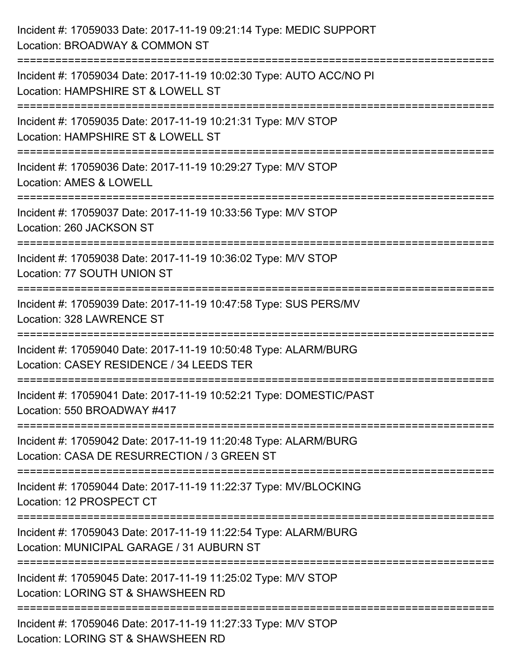| Incident #: 17059033 Date: 2017-11-19 09:21:14 Type: MEDIC SUPPORT<br>Location: BROADWAY & COMMON ST                            |
|---------------------------------------------------------------------------------------------------------------------------------|
| Incident #: 17059034 Date: 2017-11-19 10:02:30 Type: AUTO ACC/NO PI<br>Location: HAMPSHIRE ST & LOWELL ST                       |
| Incident #: 17059035 Date: 2017-11-19 10:21:31 Type: M/V STOP<br>Location: HAMPSHIRE ST & LOWELL ST<br>======================== |
| Incident #: 17059036 Date: 2017-11-19 10:29:27 Type: M/V STOP<br>Location: AMES & LOWELL                                        |
| Incident #: 17059037 Date: 2017-11-19 10:33:56 Type: M/V STOP<br>Location: 260 JACKSON ST<br>:================================  |
| Incident #: 17059038 Date: 2017-11-19 10:36:02 Type: M/V STOP<br>Location: 77 SOUTH UNION ST                                    |
| Incident #: 17059039 Date: 2017-11-19 10:47:58 Type: SUS PERS/MV<br>Location: 328 LAWRENCE ST                                   |
| Incident #: 17059040 Date: 2017-11-19 10:50:48 Type: ALARM/BURG<br>Location: CASEY RESIDENCE / 34 LEEDS TER                     |
| Incident #: 17059041 Date: 2017-11-19 10:52:21 Type: DOMESTIC/PAST<br>Location: 550 BROADWAY #417                               |
| Incident #: 17059042 Date: 2017-11-19 11:20:48 Type: ALARM/BURG<br>Location: CASA DE RESURRECTION / 3 GREEN ST                  |
| Incident #: 17059044 Date: 2017-11-19 11:22:37 Type: MV/BLOCKING<br>Location: 12 PROSPECT CT                                    |
| Incident #: 17059043 Date: 2017-11-19 11:22:54 Type: ALARM/BURG<br>Location: MUNICIPAL GARAGE / 31 AUBURN ST                    |
| Incident #: 17059045 Date: 2017-11-19 11:25:02 Type: M/V STOP<br>Location: LORING ST & SHAWSHEEN RD                             |
| Incident #: 17059046 Date: 2017-11-19 11:27:33 Type: M/V STOP<br>Location: LORING ST & SHAWSHEEN RD                             |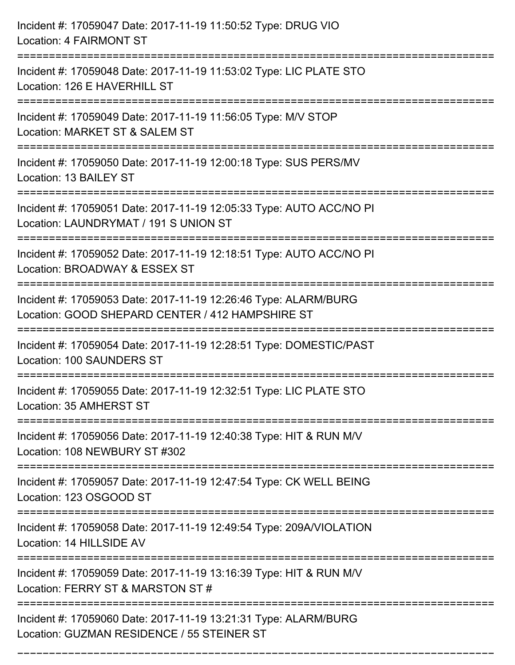| Incident #: 17059047 Date: 2017-11-19 11:50:52 Type: DRUG VIO<br><b>Location: 4 FAIRMONT ST</b>                                                                                         |
|-----------------------------------------------------------------------------------------------------------------------------------------------------------------------------------------|
| ======================================<br>Incident #: 17059048 Date: 2017-11-19 11:53:02 Type: LIC PLATE STO<br>Location: 126 E HAVERHILL ST<br>---------------------<br>-------------- |
| Incident #: 17059049 Date: 2017-11-19 11:56:05 Type: M/V STOP<br>Location: MARKET ST & SALEM ST                                                                                         |
| Incident #: 17059050 Date: 2017-11-19 12:00:18 Type: SUS PERS/MV<br>Location: 13 BAILEY ST<br>======================================                                                    |
| Incident #: 17059051 Date: 2017-11-19 12:05:33 Type: AUTO ACC/NO PI<br>Location: LAUNDRYMAT / 191 S UNION ST                                                                            |
| Incident #: 17059052 Date: 2017-11-19 12:18:51 Type: AUTO ACC/NO PI<br>Location: BROADWAY & ESSEX ST                                                                                    |
| Incident #: 17059053 Date: 2017-11-19 12:26:46 Type: ALARM/BURG<br>Location: GOOD SHEPARD CENTER / 412 HAMPSHIRE ST                                                                     |
| Incident #: 17059054 Date: 2017-11-19 12:28:51 Type: DOMESTIC/PAST<br>Location: 100 SAUNDERS ST                                                                                         |
| Incident #: 17059055 Date: 2017-11-19 12:32:51 Type: LIC PLATE STO<br>Location: 35 AMHERST ST                                                                                           |
| Incident #: 17059056 Date: 2017-11-19 12:40:38 Type: HIT & RUN M/V<br>Location: 108 NEWBURY ST #302                                                                                     |
| Incident #: 17059057 Date: 2017-11-19 12:47:54 Type: CK WELL BEING<br>Location: 123 OSGOOD ST                                                                                           |
| Incident #: 17059058 Date: 2017-11-19 12:49:54 Type: 209A/VIOLATION<br>Location: 14 HILLSIDE AV                                                                                         |
| Incident #: 17059059 Date: 2017-11-19 13:16:39 Type: HIT & RUN M/V<br>Location: FERRY ST & MARSTON ST #                                                                                 |
| Incident #: 17059060 Date: 2017-11-19 13:21:31 Type: ALARM/BURG<br>Location: GUZMAN RESIDENCE / 55 STEINER ST                                                                           |

===========================================================================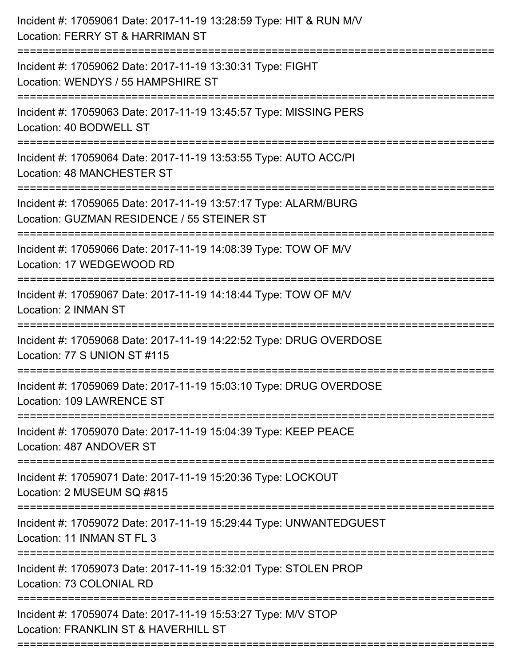| Incident #: 17059061 Date: 2017-11-19 13:28:59 Type: HIT & RUN M/V<br>Location: FERRY ST & HARRIMAN ST                                   |
|------------------------------------------------------------------------------------------------------------------------------------------|
| .---------------------------<br>Incident #: 17059062 Date: 2017-11-19 13:30:31 Type: FIGHT<br>Location: WENDYS / 55 HAMPSHIRE ST         |
| Incident #: 17059063 Date: 2017-11-19 13:45:57 Type: MISSING PERS<br>Location: 40 BODWELL ST                                             |
| Incident #: 17059064 Date: 2017-11-19 13:53:55 Type: AUTO ACC/PI<br>Location: 48 MANCHESTER ST                                           |
| Incident #: 17059065 Date: 2017-11-19 13:57:17 Type: ALARM/BURG<br>Location: GUZMAN RESIDENCE / 55 STEINER ST<br>======================= |
| Incident #: 17059066 Date: 2017-11-19 14:08:39 Type: TOW OF M/V<br>Location: 17 WEDGEWOOD RD                                             |
| Incident #: 17059067 Date: 2017-11-19 14:18:44 Type: TOW OF M/V<br>Location: 2 INMAN ST<br>----------------------------------            |
| Incident #: 17059068 Date: 2017-11-19 14:22:52 Type: DRUG OVERDOSE<br>Location: 77 S UNION ST #115                                       |
| Incident #: 17059069 Date: 2017-11-19 15:03:10 Type: DRUG OVERDOSE<br>Location: 109 LAWRENCE ST                                          |
| Incident #: 17059070 Date: 2017-11-19 15:04:39 Type: KEEP PEACE<br>Location: 487 ANDOVER ST                                              |
| Incident #: 17059071 Date: 2017-11-19 15:20:36 Type: LOCKOUT<br>Location: 2 MUSEUM SQ #815                                               |
| Incident #: 17059072 Date: 2017-11-19 15:29:44 Type: UNWANTEDGUEST<br>Location: 11 INMAN ST FL 3                                         |
| Incident #: 17059073 Date: 2017-11-19 15:32:01 Type: STOLEN PROP<br>Location: 73 COLONIAL RD                                             |
| Incident #: 17059074 Date: 2017-11-19 15:53:27 Type: M/V STOP<br>Location: FRANKLIN ST & HAVERHILL ST                                    |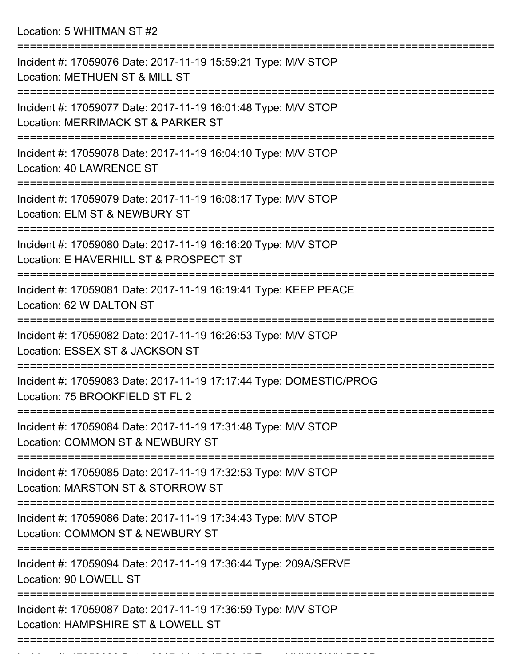Location: 5 WHITMAN ST #2

| Incident #: 17059076 Date: 2017-11-19 15:59:21 Type: M/V STOP<br>Location: METHUEN ST & MILL ST         |
|---------------------------------------------------------------------------------------------------------|
| Incident #: 17059077 Date: 2017-11-19 16:01:48 Type: M/V STOP<br>Location: MERRIMACK ST & PARKER ST     |
| Incident #: 17059078 Date: 2017-11-19 16:04:10 Type: M/V STOP<br>Location: 40 LAWRENCE ST               |
| Incident #: 17059079 Date: 2017-11-19 16:08:17 Type: M/V STOP<br>Location: ELM ST & NEWBURY ST          |
| Incident #: 17059080 Date: 2017-11-19 16:16:20 Type: M/V STOP<br>Location: E HAVERHILL ST & PROSPECT ST |
| Incident #: 17059081 Date: 2017-11-19 16:19:41 Type: KEEP PEACE<br>Location: 62 W DALTON ST             |
| Incident #: 17059082 Date: 2017-11-19 16:26:53 Type: M/V STOP<br>Location: ESSEX ST & JACKSON ST        |
| Incident #: 17059083 Date: 2017-11-19 17:17:44 Type: DOMESTIC/PROG<br>Location: 75 BROOKFIELD ST FL 2   |
| Incident #: 17059084 Date: 2017-11-19 17:31:48 Type: M/V STOP<br>Location: COMMON ST & NEWBURY ST       |
| Incident #: 17059085 Date: 2017-11-19 17:32:53 Type: M/V STOP<br>Location: MARSTON ST & STORROW ST      |
| Incident #: 17059086 Date: 2017-11-19 17:34:43 Type: M/V STOP<br>Location: COMMON ST & NEWBURY ST       |
| Incident #: 17059094 Date: 2017-11-19 17:36:44 Type: 209A/SERVE<br>Location: 90 LOWELL ST               |
| Incident #: 17059087 Date: 2017-11-19 17:36:59 Type: M/V STOP<br>Location: HAMPSHIRE ST & LOWELL ST     |
|                                                                                                         |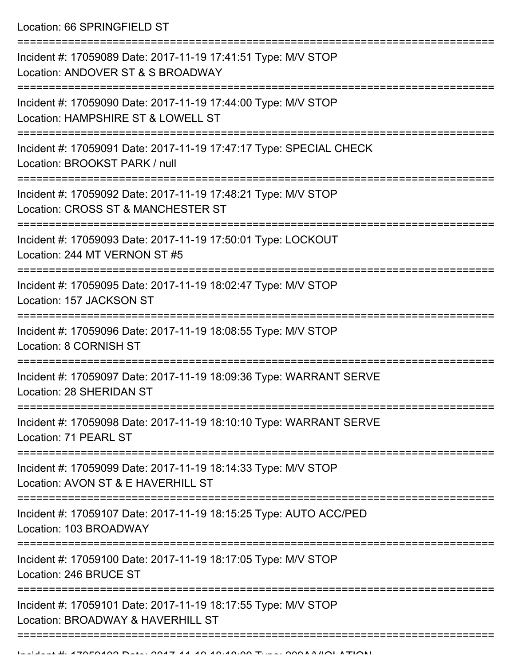Location: 66 SPRINGFIELD ST

| Incident #: 17059089 Date: 2017-11-19 17:41:51 Type: M/V STOP<br>Location: ANDOVER ST & S BROADWAY                        |
|---------------------------------------------------------------------------------------------------------------------------|
| Incident #: 17059090 Date: 2017-11-19 17:44:00 Type: M/V STOP<br>Location: HAMPSHIRE ST & LOWELL ST                       |
| Incident #: 17059091 Date: 2017-11-19 17:47:17 Type: SPECIAL CHECK<br>Location: BROOKST PARK / null                       |
| Incident #: 17059092 Date: 2017-11-19 17:48:21 Type: M/V STOP<br>Location: CROSS ST & MANCHESTER ST                       |
| Incident #: 17059093 Date: 2017-11-19 17:50:01 Type: LOCKOUT<br>Location: 244 MT VERNON ST #5                             |
| Incident #: 17059095 Date: 2017-11-19 18:02:47 Type: M/V STOP<br>Location: 157 JACKSON ST                                 |
| Incident #: 17059096 Date: 2017-11-19 18:08:55 Type: M/V STOP<br>Location: 8 CORNISH ST                                   |
| Incident #: 17059097 Date: 2017-11-19 18:09:36 Type: WARRANT SERVE<br>Location: 28 SHERIDAN ST                            |
| Incident #: 17059098 Date: 2017-11-19 18:10:10 Type: WARRANT SERVE<br>Location: 71 PEARL ST                               |
| ==================<br>Incident #: 17059099 Date: 2017-11-19 18:14:33 Type: M/V STOP<br>Location: AVON ST & E HAVERHILL ST |
| Incident #: 17059107 Date: 2017-11-19 18:15:25 Type: AUTO ACC/PED<br>Location: 103 BROADWAY                               |
| Incident #: 17059100 Date: 2017-11-19 18:17:05 Type: M/V STOP<br>Location: 246 BRUCE ST                                   |
| Incident #: 17059101 Date: 2017-11-19 18:17:55 Type: M/V STOP<br>Location: BROADWAY & HAVERHILL ST                        |
|                                                                                                                           |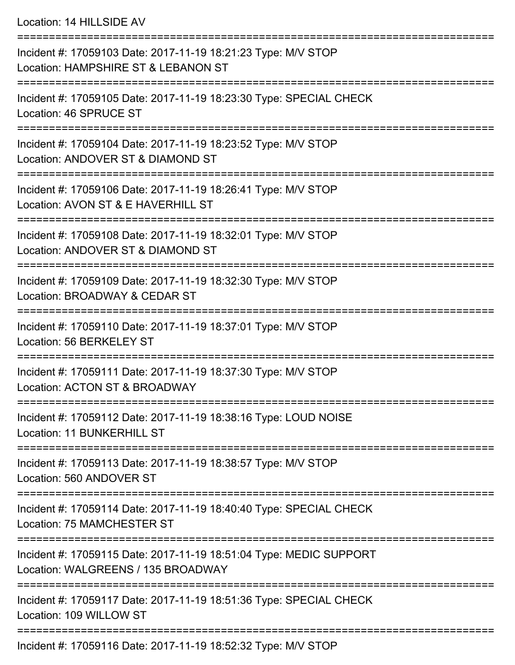## Location: 14 HILLSIDE AV

| Incident #: 17059103 Date: 2017-11-19 18:21:23 Type: M/V STOP<br>Location: HAMPSHIRE ST & LEBANON ST     |
|----------------------------------------------------------------------------------------------------------|
| Incident #: 17059105 Date: 2017-11-19 18:23:30 Type: SPECIAL CHECK<br>Location: 46 SPRUCE ST             |
| Incident #: 17059104 Date: 2017-11-19 18:23:52 Type: M/V STOP<br>Location: ANDOVER ST & DIAMOND ST       |
| Incident #: 17059106 Date: 2017-11-19 18:26:41 Type: M/V STOP<br>Location: AVON ST & E HAVERHILL ST      |
| Incident #: 17059108 Date: 2017-11-19 18:32:01 Type: M/V STOP<br>Location: ANDOVER ST & DIAMOND ST       |
| Incident #: 17059109 Date: 2017-11-19 18:32:30 Type: M/V STOP<br>Location: BROADWAY & CEDAR ST           |
| Incident #: 17059110 Date: 2017-11-19 18:37:01 Type: M/V STOP<br>Location: 56 BERKELEY ST                |
| Incident #: 17059111 Date: 2017-11-19 18:37:30 Type: M/V STOP<br>Location: ACTON ST & BROADWAY           |
| Incident #: 17059112 Date: 2017-11-19 18:38:16 Type: LOUD NOISE<br><b>Location: 11 BUNKERHILL ST</b>     |
| Incident #: 17059113 Date: 2017-11-19 18:38:57 Type: M/V STOP<br>Location: 560 ANDOVER ST                |
| Incident #: 17059114 Date: 2017-11-19 18:40:40 Type: SPECIAL CHECK<br>Location: 75 MAMCHESTER ST         |
| Incident #: 17059115 Date: 2017-11-19 18:51:04 Type: MEDIC SUPPORT<br>Location: WALGREENS / 135 BROADWAY |
| Incident #: 17059117 Date: 2017-11-19 18:51:36 Type: SPECIAL CHECK<br>Location: 109 WILLOW ST            |
| Incident #: 17050116 Date: 2017 11 10 18:52:22 Tune: MAI STOD                                            |

Incident #: 17059116 Date: 2017-11-19 18:52:32 Type: M/V STOP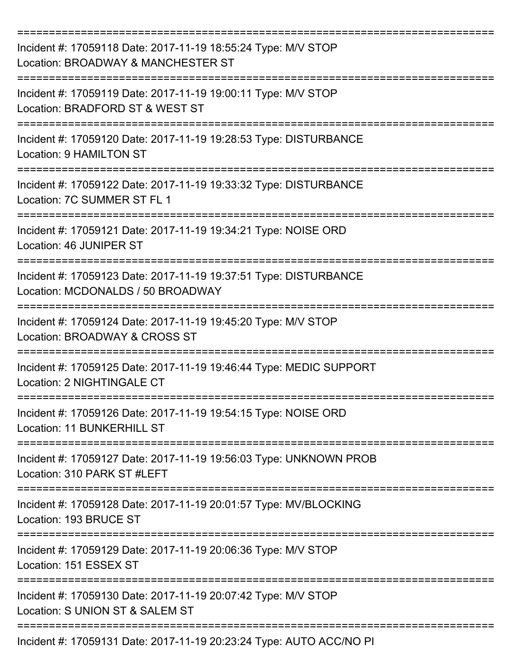| Incident #: 17059118 Date: 2017-11-19 18:55:24 Type: M/V STOP<br>Location: BROADWAY & MANCHESTER ST           |
|---------------------------------------------------------------------------------------------------------------|
| Incident #: 17059119 Date: 2017-11-19 19:00:11 Type: M/V STOP<br>Location: BRADFORD ST & WEST ST              |
| Incident #: 17059120 Date: 2017-11-19 19:28:53 Type: DISTURBANCE<br>Location: 9 HAMILTON ST                   |
| Incident #: 17059122 Date: 2017-11-19 19:33:32 Type: DISTURBANCE<br>Location: 7C SUMMER ST FL 1               |
| Incident #: 17059121 Date: 2017-11-19 19:34:21 Type: NOISE ORD<br>Location: 46 JUNIPER ST                     |
| Incident #: 17059123 Date: 2017-11-19 19:37:51 Type: DISTURBANCE<br>Location: MCDONALDS / 50 BROADWAY         |
| Incident #: 17059124 Date: 2017-11-19 19:45:20 Type: M/V STOP<br>Location: BROADWAY & CROSS ST                |
| =========<br>Incident #: 17059125 Date: 2017-11-19 19:46:44 Type: MEDIC SUPPORT<br>Location: 2 NIGHTINGALE CT |
| Incident #: 17059126 Date: 2017-11-19 19:54:15 Type: NOISE ORD<br>Location: 11 BUNKERHILL ST                  |
| Incident #: 17059127 Date: 2017-11-19 19:56:03 Type: UNKNOWN PROB<br>Location: 310 PARK ST #LEFT              |
| Incident #: 17059128 Date: 2017-11-19 20:01:57 Type: MV/BLOCKING<br>Location: 193 BRUCE ST                    |
| Incident #: 17059129 Date: 2017-11-19 20:06:36 Type: M/V STOP<br>Location: 151 ESSEX ST                       |
| Incident #: 17059130 Date: 2017-11-19 20:07:42 Type: M/V STOP<br>Location: S UNION ST & SALEM ST              |
| Incident #: 17059131 Date: 2017-11-19 20:23:24 Type: AUTO ACC/NO PI                                           |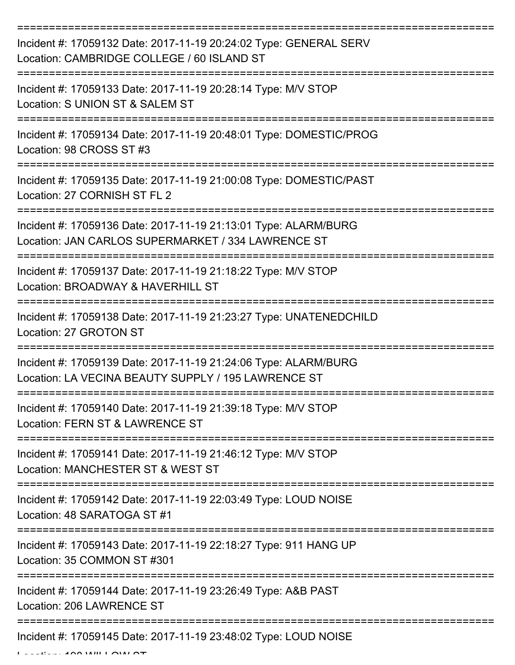| Incident #: 17059132 Date: 2017-11-19 20:24:02 Type: GENERAL SERV<br>Location: CAMBRIDGE COLLEGE / 60 ISLAND ST        |
|------------------------------------------------------------------------------------------------------------------------|
| Incident #: 17059133 Date: 2017-11-19 20:28:14 Type: M/V STOP<br>Location: S UNION ST & SALEM ST                       |
| Incident #: 17059134 Date: 2017-11-19 20:48:01 Type: DOMESTIC/PROG<br>Location: 98 CROSS ST #3                         |
| Incident #: 17059135 Date: 2017-11-19 21:00:08 Type: DOMESTIC/PAST<br>Location: 27 CORNISH ST FL 2                     |
| Incident #: 17059136 Date: 2017-11-19 21:13:01 Type: ALARM/BURG<br>Location: JAN CARLOS SUPERMARKET / 334 LAWRENCE ST  |
| Incident #: 17059137 Date: 2017-11-19 21:18:22 Type: M/V STOP<br>Location: BROADWAY & HAVERHILL ST                     |
| Incident #: 17059138 Date: 2017-11-19 21:23:27 Type: UNATENEDCHILD<br>Location: 27 GROTON ST                           |
| Incident #: 17059139 Date: 2017-11-19 21:24:06 Type: ALARM/BURG<br>Location: LA VECINA BEAUTY SUPPLY / 195 LAWRENCE ST |
| Incident #: 17059140 Date: 2017-11-19 21:39:18 Type: M/V STOP<br>Location: FERN ST & LAWRENCE ST                       |
| Incident #: 17059141 Date: 2017-11-19 21:46:12 Type: M/V STOP<br>Location: MANCHESTER ST & WEST ST                     |
| Incident #: 17059142 Date: 2017-11-19 22:03:49 Type: LOUD NOISE<br>Location: 48 SARATOGA ST #1                         |
| Incident #: 17059143 Date: 2017-11-19 22:18:27 Type: 911 HANG UP<br>Location: 35 COMMON ST #301                        |
| Incident #: 17059144 Date: 2017-11-19 23:26:49 Type: A&B PAST<br>Location: 206 LAWRENCE ST                             |
| Incident #: 17059145 Date: 2017-11-19 23:48:02 Type: LOUD NOISE                                                        |

 $L = L$   $\frac{1}{2}$  and  $\frac{1}{2}$  will  $\frac{1}{2}$  Millows